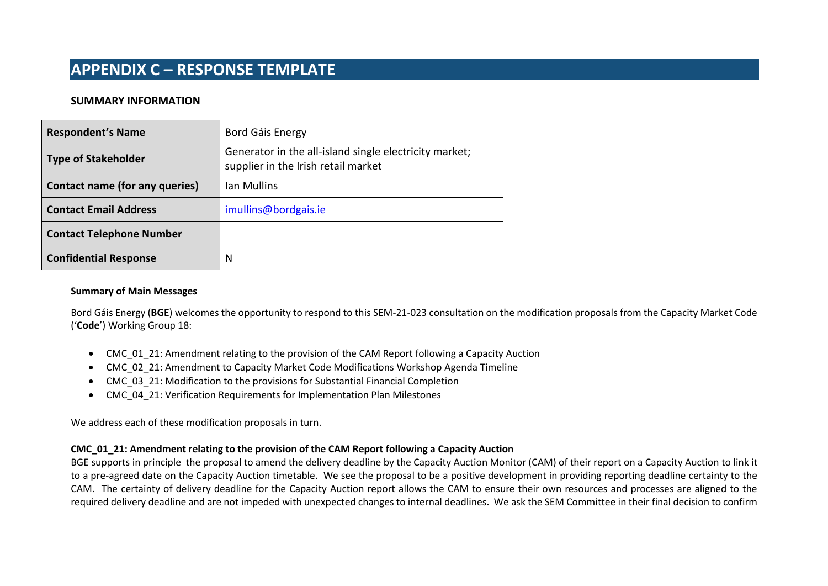### **SUMMARY INFORMATION**

| <b>Respondent's Name</b>              | Bord Gáis Energy                                                                              |
|---------------------------------------|-----------------------------------------------------------------------------------------------|
| <b>Type of Stakeholder</b>            | Generator in the all-island single electricity market;<br>supplier in the Irish retail market |
| <b>Contact name (for any queries)</b> | Ian Mullins                                                                                   |
| <b>Contact Email Address</b>          | imullins@bordgais.ie                                                                          |
| <b>Contact Telephone Number</b>       |                                                                                               |
| <b>Confidential Response</b>          | N                                                                                             |

#### **Summary of Main Messages**

Bord Gáis Energy (**BGE**) welcomes the opportunity to respond to this SEM-21-023 consultation on the modification proposals from the Capacity Market Code ('**Code**') Working Group 18:

- CMC 01 21: Amendment relating to the provision of the CAM Report following a Capacity Auction
- CMC\_02\_21: Amendment to Capacity Market Code Modifications Workshop Agenda Timeline
- CMC\_03\_21: Modification to the provisions for Substantial Financial Completion
- CMC\_04\_21: Verification Requirements for Implementation Plan Milestones

We address each of these modification proposals in turn.

### **CMC\_01\_21: Amendment relating to the provision of the CAM Report following a Capacity Auction**

BGE supports in principle the proposal to amend the delivery deadline by the Capacity Auction Monitor (CAM) of their report on a Capacity Auction to link it to a pre-agreed date on the Capacity Auction timetable. We see the proposal to be a positive development in providing reporting deadline certainty to the CAM. The certainty of delivery deadline for the Capacity Auction report allows the CAM to ensure their own resources and processes are aligned to the required delivery deadline and are not impeded with unexpected changes to internal deadlines. We ask the SEM Committee in their final decision to confirm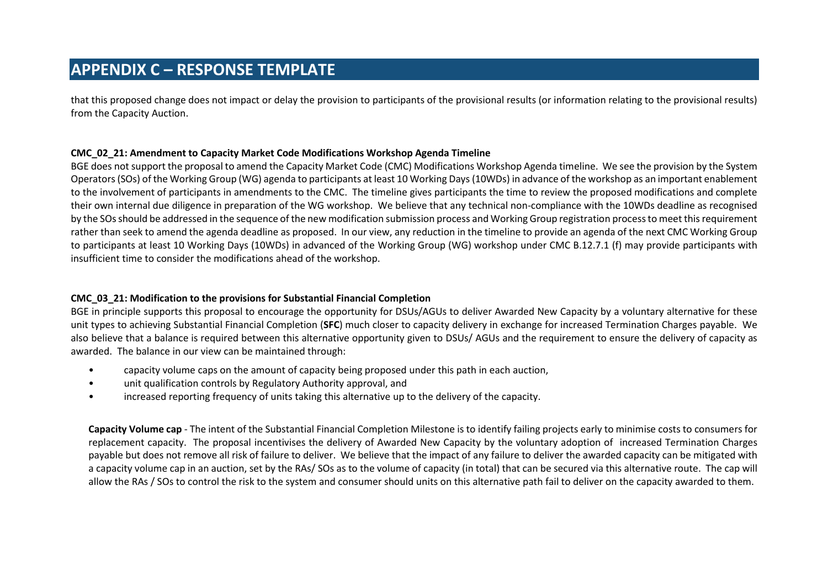that this proposed change does not impact or delay the provision to participants of the provisional results (or information relating to the provisional results) from the Capacity Auction.

### **CMC\_02\_21: Amendment to Capacity Market Code Modifications Workshop Agenda Timeline**

BGE does not support the proposal to amend the Capacity Market Code (CMC) Modifications Workshop Agenda timeline. We see the provision by the System Operators (SOs) of the Working Group (WG) agenda to participants at least 10 Working Days (10WDs) in advance of the workshop as an important enablement to the involvement of participants in amendments to the CMC. The timeline gives participants the time to review the proposed modifications and complete their own internal due diligence in preparation of the WG workshop. We believe that any technical non-compliance with the 10WDs deadline as recognised by the SOs should be addressed in the sequence of the new modification submission process and Working Group registration processto meet this requirement rather than seek to amend the agenda deadline as proposed. In our view, any reduction in the timeline to provide an agenda of the next CMC Working Group to participants at least 10 Working Days (10WDs) in advanced of the Working Group (WG) workshop under CMC B.12.7.1 (f) may provide participants with insufficient time to consider the modifications ahead of the workshop.

### **CMC\_03\_21: Modification to the provisions for Substantial Financial Completion**

BGE in principle supports this proposal to encourage the opportunity for DSUs/AGUs to deliver Awarded New Capacity by a voluntary alternative for these unit types to achieving Substantial Financial Completion (**SFC**) much closer to capacity delivery in exchange for increased Termination Charges payable. We also believe that a balance is required between this alternative opportunity given to DSUs/ AGUs and the requirement to ensure the delivery of capacity as awarded. The balance in our view can be maintained through:

- capacity volume caps on the amount of capacity being proposed under this path in each auction,
- unit qualification controls by Regulatory Authority approval, and
- increased reporting frequency of units taking this alternative up to the delivery of the capacity.

**Capacity Volume cap** - The intent of the Substantial Financial Completion Milestone is to identify failing projects early to minimise costs to consumers for replacement capacity. The proposal incentivises the delivery of Awarded New Capacity by the voluntary adoption of increased Termination Charges payable but does not remove all risk of failure to deliver. We believe that the impact of any failure to deliver the awarded capacity can be mitigated with a capacity volume cap in an auction, set by the RAs/ SOs as to the volume of capacity (in total) that can be secured via this alternative route. The cap will allow the RAs / SOs to control the risk to the system and consumer should units on this alternative path fail to deliver on the capacity awarded to them.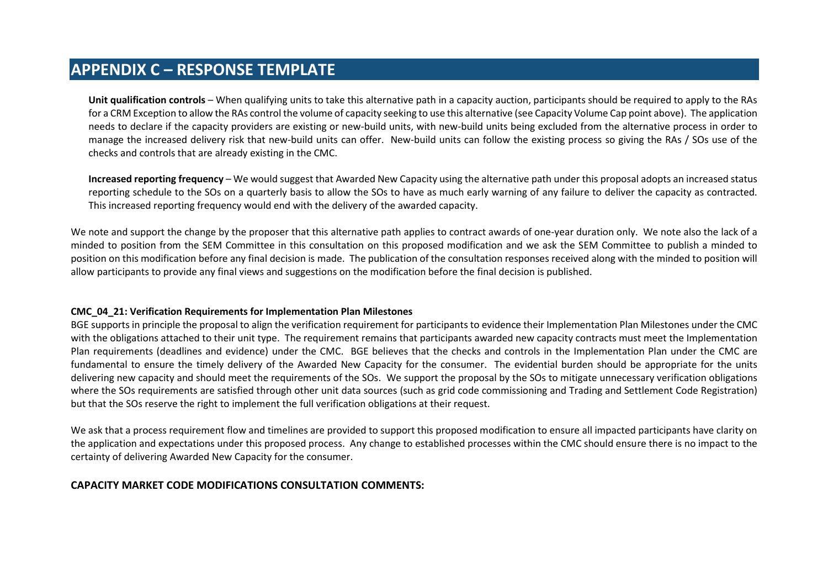**Unit qualification controls** – When qualifying units to take this alternative path in a capacity auction, participants should be required to apply to the RAs for a CRM Exception to allow the RAs control the volume of capacity seeking to use this alternative (see Capacity Volume Cap point above). The application needs to declare if the capacity providers are existing or new-build units, with new-build units being excluded from the alternative process in order to manage the increased delivery risk that new-build units can offer. New-build units can follow the existing process so giving the RAs / SOs use of the checks and controls that are already existing in the CMC.

**Increased reporting frequency** – We would suggest that Awarded New Capacity using the alternative path under this proposal adopts an increased status reporting schedule to the SOs on a quarterly basis to allow the SOs to have as much early warning of any failure to deliver the capacity as contracted. This increased reporting frequency would end with the delivery of the awarded capacity.

We note and support the change by the proposer that this alternative path applies to contract awards of one-year duration only. We note also the lack of a minded to position from the SEM Committee in this consultation on this proposed modification and we ask the SEM Committee to publish a minded to position on this modification before any final decision is made. The publication of the consultation responses received along with the minded to position will allow participants to provide any final views and suggestions on the modification before the final decision is published.

#### **CMC\_04\_21: Verification Requirements for Implementation Plan Milestones**

BGE supports in principle the proposal to align the verification requirement for participants to evidence their Implementation Plan Milestones under the CMC with the obligations attached to their unit type. The requirement remains that participants awarded new capacity contracts must meet the Implementation Plan requirements (deadlines and evidence) under the CMC. BGE believes that the checks and controls in the Implementation Plan under the CMC are fundamental to ensure the timely delivery of the Awarded New Capacity for the consumer. The evidential burden should be appropriate for the units delivering new capacity and should meet the requirements of the SOs. We support the proposal by the SOs to mitigate unnecessary verification obligations where the SOs requirements are satisfied through other unit data sources (such as grid code commissioning and Trading and Settlement Code Registration) but that the SOs reserve the right to implement the full verification obligations at their request.

We ask that a process requirement flow and timelines are provided to support this proposed modification to ensure all impacted participants have clarity on the application and expectations under this proposed process. Any change to established processes within the CMC should ensure there is no impact to the certainty of delivering Awarded New Capacity for the consumer.

### **CAPACITY MARKET CODE MODIFICATIONS CONSULTATION COMMENTS:**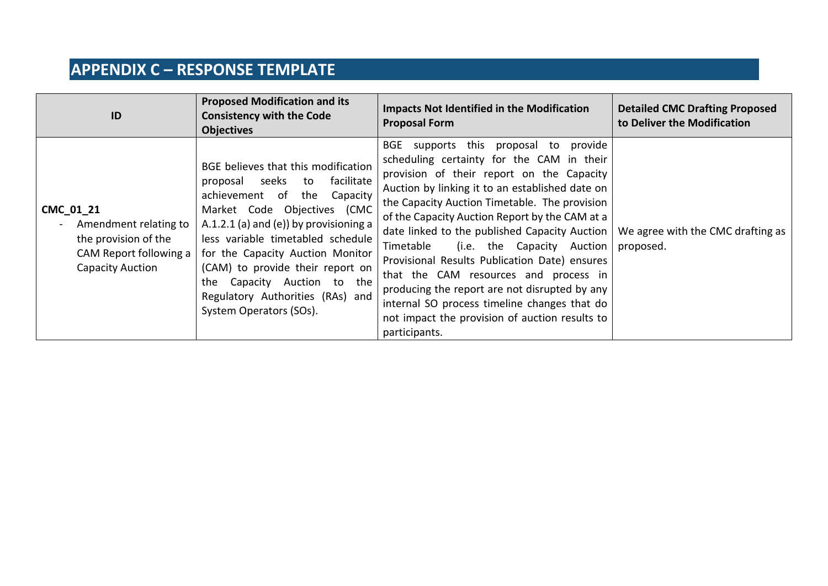| ID                                                                                                       | <b>Proposed Modification and its</b><br><b>Consistency with the Code</b><br><b>Objectives</b>                                                                                                                                                                                                                                                                                                         | <b>Impacts Not Identified in the Modification</b><br><b>Proposal Form</b>                                                                                                                                                                                                                                                                                                                                                                                                                                                                                                                                                                          | <b>Detailed CMC Drafting Proposed</b><br>to Deliver the Modification |
|----------------------------------------------------------------------------------------------------------|-------------------------------------------------------------------------------------------------------------------------------------------------------------------------------------------------------------------------------------------------------------------------------------------------------------------------------------------------------------------------------------------------------|----------------------------------------------------------------------------------------------------------------------------------------------------------------------------------------------------------------------------------------------------------------------------------------------------------------------------------------------------------------------------------------------------------------------------------------------------------------------------------------------------------------------------------------------------------------------------------------------------------------------------------------------------|----------------------------------------------------------------------|
| CMC 01 21<br>Amendment relating to<br>the provision of the<br>CAM Report following a<br>Capacity Auction | BGE believes that this modification<br>seeks to<br>facilitate<br>proposal<br>achievement of<br>the<br>Capacity<br>Market Code Objectives (CMC<br>A.1.2.1 (a) and (e)) by provisioning a<br>less variable timetabled schedule<br>for the Capacity Auction Monitor<br>(CAM) to provide their report on<br>Capacity Auction to the<br>the<br>Regulatory Authorities (RAs) and<br>System Operators (SOs). | BGE<br>supports this proposal to provide<br>scheduling certainty for the CAM in their<br>provision of their report on the Capacity<br>Auction by linking it to an established date on<br>the Capacity Auction Timetable. The provision<br>of the Capacity Auction Report by the CAM at a<br>date linked to the published Capacity Auction<br>(i.e. the Capacity Auction<br>Timetable<br>Provisional Results Publication Date) ensures<br>that the CAM resources and process in<br>producing the report are not disrupted by any<br>internal SO process timeline changes that do<br>not impact the provision of auction results to<br>participants. | We agree with the CMC drafting as<br>proposed.                       |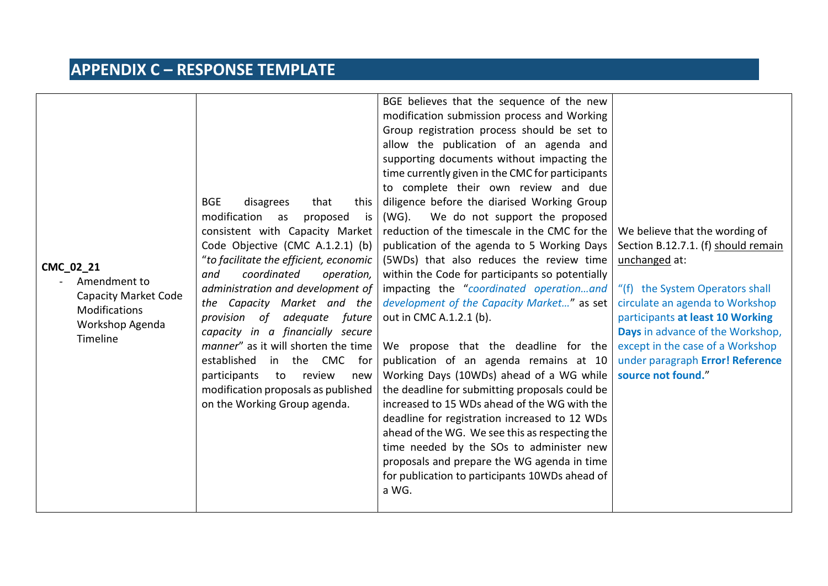| CMC_02_21<br>Amendment to<br><b>Capacity Market Code</b><br><b>Modifications</b><br>Workshop Agenda | <b>BGE</b><br>disagrees<br>that<br>this<br>modification as<br>is<br>proposed<br>consistent with Capacity Market<br>Code Objective (CMC A.1.2.1) (b)<br>"to facilitate the efficient, economic<br>coordinated<br>and<br>operation,<br>administration and development of<br>the Capacity Market and the<br>adequate future<br>provision of<br>capacity in a financially secure | BGE believes that the sequence of the new<br>modification submission process and Working<br>Group registration process should be set to<br>allow the publication of an agenda and<br>supporting documents without impacting the<br>time currently given in the CMC for participants<br>to complete their own review and due<br>diligence before the diarised Working Group<br>$(WG)$ .<br>We do not support the proposed<br>reduction of the timescale in the CMC for the<br>publication of the agenda to 5 Working Days<br>(5WDs) that also reduces the review time<br>within the Code for participants so potentially<br>impacting the "coordinated operationand<br>development of the Capacity Market" as set<br>out in CMC A.1.2.1 (b). | We believe that the wording of<br>Section B.12.7.1. (f) should remain<br>unchanged at:<br>"(f) the System Operators shall<br>circulate an agenda to Workshop<br>participants at least 10 Working<br>Days in advance of the Workshop, |
|-----------------------------------------------------------------------------------------------------|------------------------------------------------------------------------------------------------------------------------------------------------------------------------------------------------------------------------------------------------------------------------------------------------------------------------------------------------------------------------------|---------------------------------------------------------------------------------------------------------------------------------------------------------------------------------------------------------------------------------------------------------------------------------------------------------------------------------------------------------------------------------------------------------------------------------------------------------------------------------------------------------------------------------------------------------------------------------------------------------------------------------------------------------------------------------------------------------------------------------------------|--------------------------------------------------------------------------------------------------------------------------------------------------------------------------------------------------------------------------------------|
| Timeline                                                                                            | manner" as it will shorten the time<br>established<br>in the CMC<br>for<br>participants<br>review<br>to<br>new<br>modification proposals as published<br>on the Working Group agenda.                                                                                                                                                                                        | We propose that the deadline for the<br>publication of an agenda remains at 10<br>Working Days (10WDs) ahead of a WG while<br>the deadline for submitting proposals could be<br>increased to 15 WDs ahead of the WG with the<br>deadline for registration increased to 12 WDs<br>ahead of the WG. We see this as respecting the<br>time needed by the SOs to administer new<br>proposals and prepare the WG agenda in time<br>for publication to participants 10WDs ahead of                                                                                                                                                                                                                                                                | except in the case of a Workshop<br>under paragraph Error! Reference<br>source not found."                                                                                                                                           |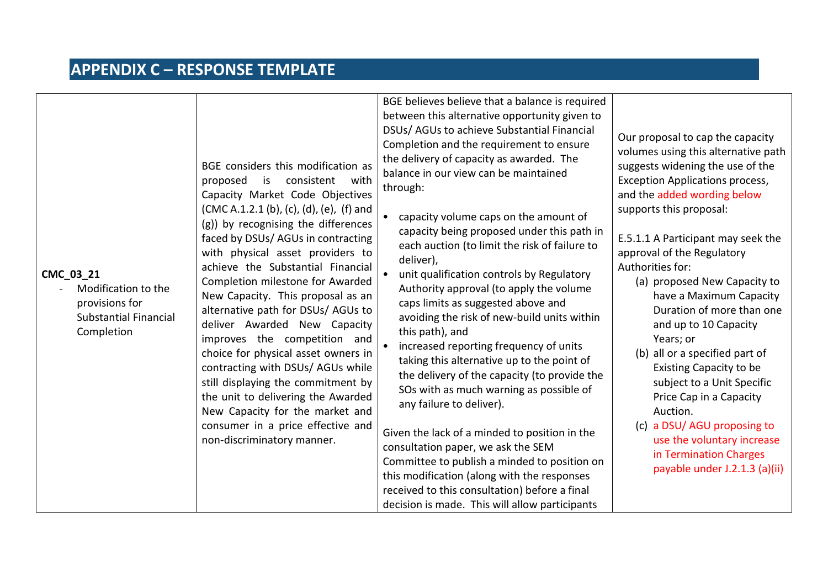| CMC 03 21<br>Modification to the<br>provisions for<br><b>Substantial Financial</b><br>Completion | BGE considers this modification as<br>proposed<br>is<br>consistent<br>with<br>Capacity Market Code Objectives<br>(CMC A.1.2.1 (b), (c), (d), (e), (f) and<br>(g)) by recognising the differences<br>faced by DSUs/ AGUs in contracting<br>with physical asset providers to<br>achieve the Substantial Financial<br>Completion milestone for Awarded<br>New Capacity. This proposal as an<br>alternative path for DSUs/ AGUs to<br>deliver Awarded New Capacity<br>improves the competition and<br>choice for physical asset owners in<br>contracting with DSUs/ AGUs while<br>still displaying the commitment by<br>the unit to delivering the Awarded<br>New Capacity for the market and<br>consumer in a price effective and<br>non-discriminatory manner. | BGE believes believe that a balance is required<br>between this alternative opportunity given to<br>DSUs/ AGUs to achieve Substantial Financial<br>Completion and the requirement to ensure<br>the delivery of capacity as awarded. The<br>balance in our view can be maintained<br>through:<br>capacity volume caps on the amount of<br>$\bullet$<br>capacity being proposed under this path in<br>each auction (to limit the risk of failure to<br>deliver),<br>unit qualification controls by Regulatory<br>Authority approval (to apply the volume<br>caps limits as suggested above and<br>avoiding the risk of new-build units within<br>this path), and<br>increased reporting frequency of units<br>taking this alternative up to the point of<br>the delivery of the capacity (to provide the<br>SOs with as much warning as possible of<br>any failure to deliver).<br>Given the lack of a minded to position in the<br>consultation paper, we ask the SEM<br>Committee to publish a minded to position on<br>this modification (along with the responses<br>received to this consultation) before a final<br>decision is made. This will allow participants | Our proposal to cap the capacity<br>volumes using this alternative path<br>suggests widening the use of the<br><b>Exception Applications process,</b><br>and the added wording below<br>supports this proposal:<br>E.5.1.1 A Participant may seek the<br>approval of the Regulatory<br>Authorities for:<br>(a) proposed New Capacity to<br>have a Maximum Capacity<br>Duration of more than one<br>and up to 10 Capacity<br>Years; or<br>(b) all or a specified part of<br>Existing Capacity to be<br>subject to a Unit Specific<br>Price Cap in a Capacity<br>Auction.<br>(c) a DSU/AGU proposing to<br>use the voluntary increase<br>in Termination Charges<br>payable under J.2.1.3 (a)(ii) |
|--------------------------------------------------------------------------------------------------|--------------------------------------------------------------------------------------------------------------------------------------------------------------------------------------------------------------------------------------------------------------------------------------------------------------------------------------------------------------------------------------------------------------------------------------------------------------------------------------------------------------------------------------------------------------------------------------------------------------------------------------------------------------------------------------------------------------------------------------------------------------|------------------------------------------------------------------------------------------------------------------------------------------------------------------------------------------------------------------------------------------------------------------------------------------------------------------------------------------------------------------------------------------------------------------------------------------------------------------------------------------------------------------------------------------------------------------------------------------------------------------------------------------------------------------------------------------------------------------------------------------------------------------------------------------------------------------------------------------------------------------------------------------------------------------------------------------------------------------------------------------------------------------------------------------------------------------------------------------------------------------------------------------------------------------------|------------------------------------------------------------------------------------------------------------------------------------------------------------------------------------------------------------------------------------------------------------------------------------------------------------------------------------------------------------------------------------------------------------------------------------------------------------------------------------------------------------------------------------------------------------------------------------------------------------------------------------------------------------------------------------------------|
|--------------------------------------------------------------------------------------------------|--------------------------------------------------------------------------------------------------------------------------------------------------------------------------------------------------------------------------------------------------------------------------------------------------------------------------------------------------------------------------------------------------------------------------------------------------------------------------------------------------------------------------------------------------------------------------------------------------------------------------------------------------------------------------------------------------------------------------------------------------------------|------------------------------------------------------------------------------------------------------------------------------------------------------------------------------------------------------------------------------------------------------------------------------------------------------------------------------------------------------------------------------------------------------------------------------------------------------------------------------------------------------------------------------------------------------------------------------------------------------------------------------------------------------------------------------------------------------------------------------------------------------------------------------------------------------------------------------------------------------------------------------------------------------------------------------------------------------------------------------------------------------------------------------------------------------------------------------------------------------------------------------------------------------------------------|------------------------------------------------------------------------------------------------------------------------------------------------------------------------------------------------------------------------------------------------------------------------------------------------------------------------------------------------------------------------------------------------------------------------------------------------------------------------------------------------------------------------------------------------------------------------------------------------------------------------------------------------------------------------------------------------|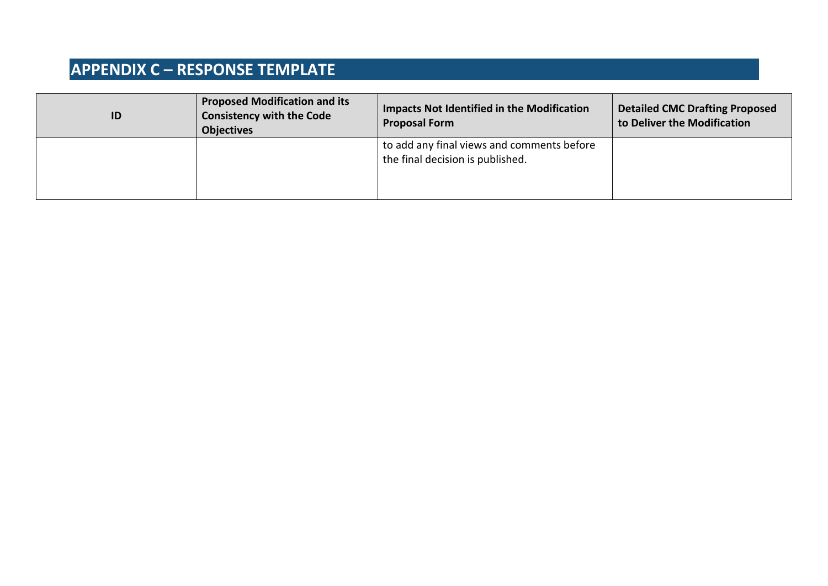| ID | <b>Proposed Modification and its</b><br><b>Consistency with the Code</b><br><b>Objectives</b> | <b>Impacts Not Identified in the Modification</b><br><b>Proposal Form</b>      | <b>Detailed CMC Drafting Proposed</b><br>to Deliver the Modification |
|----|-----------------------------------------------------------------------------------------------|--------------------------------------------------------------------------------|----------------------------------------------------------------------|
|    |                                                                                               | to add any final views and comments before<br>the final decision is published. |                                                                      |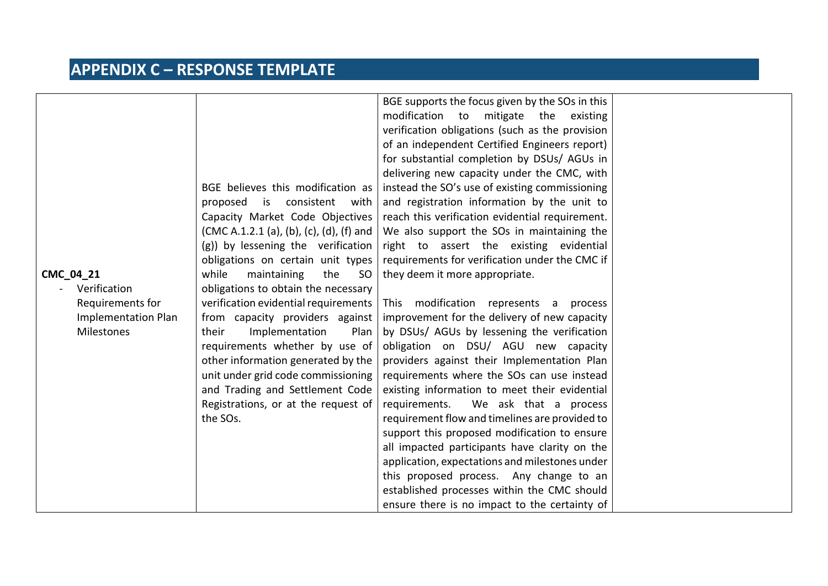| CMC_04_21<br>Verification<br>Requirements for<br><b>Implementation Plan</b><br><b>Milestones</b> | BGE believes this modification as<br>consistent<br>proposed is<br>with<br>Capacity Market Code Objectives<br>(CMC A.1.2.1 (a), (b), (c), (d), (f) and<br>(g)) by lessening the verification<br>obligations on certain unit types<br>while<br>maintaining<br>the<br>SO<br>obligations to obtain the necessary<br>verification evidential requirements<br>from capacity providers against<br>Implementation<br>their<br>Plan<br>requirements whether by use of<br>other information generated by the<br>unit under grid code commissioning<br>and Trading and Settlement Code<br>Registrations, or at the request of<br>the SOs. | BGE supports the focus given by the SOs in this<br>modification<br>mitigate<br>to<br>the<br>existing<br>verification obligations (such as the provision<br>of an independent Certified Engineers report)<br>for substantial completion by DSUs/ AGUs in<br>delivering new capacity under the CMC, with<br>instead the SO's use of existing commissioning<br>and registration information by the unit to<br>reach this verification evidential requirement.<br>We also support the SOs in maintaining the<br>right to assert the existing evidential<br>requirements for verification under the CMC if<br>they deem it more appropriate.<br>modification represents a process<br>This<br>improvement for the delivery of new capacity<br>by DSUs/ AGUs by lessening the verification<br>obligation on DSU/ AGU new capacity<br>providers against their Implementation Plan<br>requirements where the SOs can use instead<br>existing information to meet their evidential<br>requirements.<br>We ask that a process<br>requirement flow and timelines are provided to<br>support this proposed modification to ensure<br>all impacted participants have clarity on the<br>application, expectations and milestones under<br>this proposed process. Any change to an |  |
|--------------------------------------------------------------------------------------------------|--------------------------------------------------------------------------------------------------------------------------------------------------------------------------------------------------------------------------------------------------------------------------------------------------------------------------------------------------------------------------------------------------------------------------------------------------------------------------------------------------------------------------------------------------------------------------------------------------------------------------------|--------------------------------------------------------------------------------------------------------------------------------------------------------------------------------------------------------------------------------------------------------------------------------------------------------------------------------------------------------------------------------------------------------------------------------------------------------------------------------------------------------------------------------------------------------------------------------------------------------------------------------------------------------------------------------------------------------------------------------------------------------------------------------------------------------------------------------------------------------------------------------------------------------------------------------------------------------------------------------------------------------------------------------------------------------------------------------------------------------------------------------------------------------------------------------------------------------------------------------------------------------------------|--|
|                                                                                                  |                                                                                                                                                                                                                                                                                                                                                                                                                                                                                                                                                                                                                                | established processes within the CMC should<br>ensure there is no impact to the certainty of                                                                                                                                                                                                                                                                                                                                                                                                                                                                                                                                                                                                                                                                                                                                                                                                                                                                                                                                                                                                                                                                                                                                                                       |  |